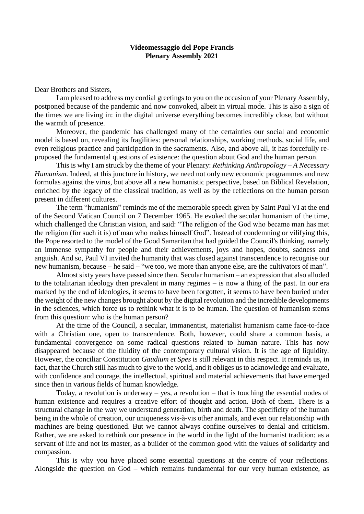## **Videomessaggio del Pope Francis Plenary Assembly 2021**

Dear Brothers and Sisters,

I am pleased to address my cordial greetings to you on the occasion of your Plenary Assembly, postponed because of the pandemic and now convoked, albeit in virtual mode. This is also a sign of the times we are living in: in the digital universe everything becomes incredibly close, but without the warmth of presence.

Moreover, the pandemic has challenged many of the certainties our social and economic model is based on, revealing its fragilities: personal relationships, working methods, social life, and even religious practice and participation in the sacraments. Also, and above all, it has forcefully reproposed the fundamental questions of existence: the question about God and the human person.

This is why I am struck by the theme of your Plenary: *Rethinking Anthropology – A Necessary Humanism.* Indeed, at this juncture in history, we need not only new economic programmes and new formulas against the virus, but above all a new humanistic perspective, based on Biblical Revelation, enriched by the legacy of the classical tradition, as well as by the reflections on the human person present in different cultures.

The term "humanism" reminds me of the memorable speech given by Saint Paul VI at the end of the Second Vatican Council on 7 December 1965. He evoked the secular humanism of the time, which challenged the Christian vision, and said: "The religion of the God who became man has met the religion (for such it is) of man who makes himself God". Instead of condemning or vilifying this, the Pope resorted to the model of the Good Samaritan that had guided the Council's thinking, namely an immense sympathy for people and their achievements, joys and hopes, doubts, sadness and anguish. And so, Paul VI invited the humanity that was closed against transcendence to recognise our new humanism, because – he said – "we too, we more than anyone else, are the cultivators of man".

Almost sixty years have passed since then. Secular humanism – an expression that also alluded to the totalitarian ideology then prevalent in many regimes – is now a thing of the past. In our era marked by the end of ideologies, it seems to have been forgotten, it seems to have been buried under the weight of the new changes brought about by the digital revolution and the incredible developments in the sciences, which force us to rethink what it is to be human. The question of humanism stems from this question: who is the human person?

At the time of the Council, a secular, immanentist, materialist humanism came face-to-face with a Christian one, open to transcendence. Both, however, could share a common basis, a fundamental convergence on some radical questions related to human nature. This has now disappeared because of the fluidity of the contemporary cultural vision. It is the age of liquidity. However, the conciliar Constitution *Gaudium et Spes* is still relevant in this respect. It reminds us, in fact, that the Church still has much to give to the world, and it obliges us to acknowledge and evaluate, with confidence and courage, the intellectual, spiritual and material achievements that have emerged since then in various fields of human knowledge.

Today, a revolution is underway – yes, a revolution – that is touching the essential nodes of human existence and requires a creative effort of thought and action. Both of them. There is a structural change in the way we understand generation, birth and death. The specificity of the human being in the whole of creation, our uniqueness vis-à-vis other animals, and even our relationship with machines are being questioned. But we cannot always confine ourselves to denial and criticism. Rather, we are asked to rethink our presence in the world in the light of the humanist tradition: as a servant of life and not its master, as a builder of the common good with the values of solidarity and compassion.

This is why you have placed some essential questions at the centre of your reflections. Alongside the question on God – which remains fundamental for our very human existence, as